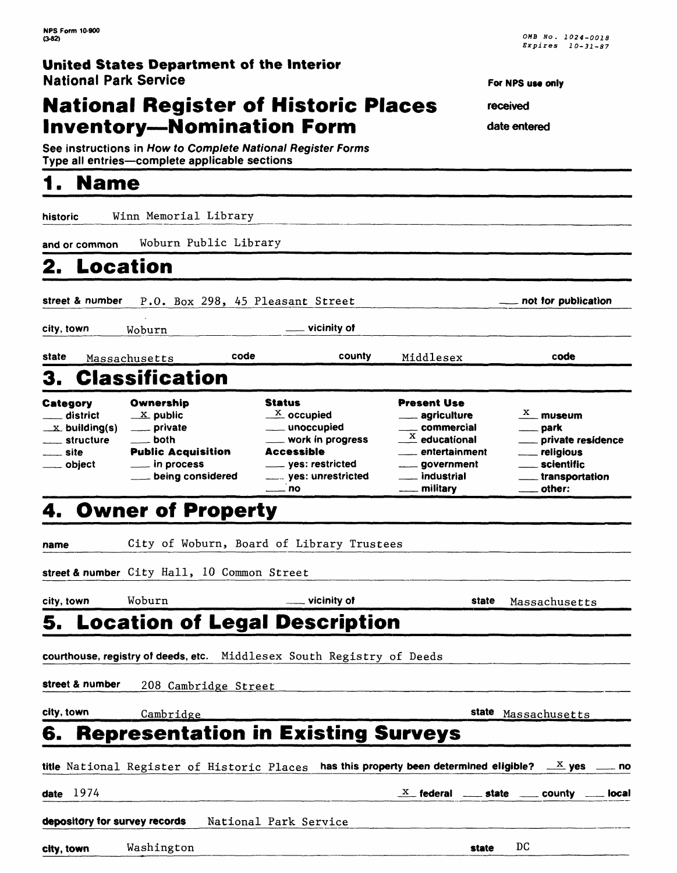### **National Register of Historic Places Inventory-Nomination Form**

**See instructions in How to Complete National Register Forms** Type all entries-complete applicable sections

## **1. Name**

**historic** Winn Memorial Library

For NPS use only

**received** 

**date entered**

| and or common                                                                                                    | Woburn Public Library                                                                                                                                       |                                                                                                                                                            |                                                                                                                                                                 |       |                                                                                                            |       |
|------------------------------------------------------------------------------------------------------------------|-------------------------------------------------------------------------------------------------------------------------------------------------------------|------------------------------------------------------------------------------------------------------------------------------------------------------------|-----------------------------------------------------------------------------------------------------------------------------------------------------------------|-------|------------------------------------------------------------------------------------------------------------|-------|
| 2.                                                                                                               | <b>Location</b>                                                                                                                                             |                                                                                                                                                            |                                                                                                                                                                 |       |                                                                                                            |       |
| street & number                                                                                                  |                                                                                                                                                             | P.O. Box 298, 45 Pleasant Street                                                                                                                           |                                                                                                                                                                 |       | not for publication                                                                                        |       |
| city, town                                                                                                       | Woburn                                                                                                                                                      | vicinity of                                                                                                                                                |                                                                                                                                                                 |       |                                                                                                            |       |
| state                                                                                                            | Massachusetts                                                                                                                                               | code                                                                                                                                                       | county<br>Middlesex                                                                                                                                             |       | code                                                                                                       |       |
| З.                                                                                                               | <b>Classification</b>                                                                                                                                       |                                                                                                                                                            |                                                                                                                                                                 |       |                                                                                                            |       |
| Category<br><sub>—</sub> district<br>$\mathbf{X}$ building(s)<br><sub>—</sub> structure<br>__ site<br>___ object | Ownership<br>$\underline{\phantom{a}}^{\mathbf{X}}$ public<br>___ private<br>___ both<br><b>Public Acquisition</b><br>__ in process<br>___ being considered | <b>Status</b><br>$\frac{X}{2}$ occupied<br>____ unoccupied<br>___ work in progress<br>Accessible<br>____ yes: restricted<br>____ yes: unrestricted<br>_ no | <b>Present Use</b><br>agriculture<br>___ commercial<br>$\frac{X}{A}$ educational<br><sub>—</sub> entertainment<br>____ government<br>___ industrial<br>military |       | $\frac{X}{X}$ museum<br>park<br>private residence<br>religious<br>. scientific<br>transportation<br>other: |       |
|                                                                                                                  | 4. Owner of Property                                                                                                                                        |                                                                                                                                                            |                                                                                                                                                                 |       |                                                                                                            |       |
| name                                                                                                             |                                                                                                                                                             | City of Woburn, Board of Library Trustees                                                                                                                  |                                                                                                                                                                 |       |                                                                                                            |       |
|                                                                                                                  | street & number City Hall, 10 Common Street                                                                                                                 |                                                                                                                                                            |                                                                                                                                                                 |       |                                                                                                            |       |
| city, town                                                                                                       | Woburn                                                                                                                                                      | $\_$ vicinity of                                                                                                                                           |                                                                                                                                                                 | state | Massachusetts                                                                                              |       |
| 5.                                                                                                               | <b>Location of Legal Description</b>                                                                                                                        |                                                                                                                                                            |                                                                                                                                                                 |       |                                                                                                            |       |
|                                                                                                                  | courthouse, registry of deeds, etc. Middlesex South Registry of Deeds                                                                                       |                                                                                                                                                            |                                                                                                                                                                 |       |                                                                                                            |       |
| street & number                                                                                                  | 208 Cambridge Street                                                                                                                                        |                                                                                                                                                            |                                                                                                                                                                 |       |                                                                                                            |       |
| city, town                                                                                                       | Cambridge                                                                                                                                                   |                                                                                                                                                            |                                                                                                                                                                 |       | state Massachusetts                                                                                        |       |
| 6.                                                                                                               | <b>Representation in Existing Surveys</b>                                                                                                                   |                                                                                                                                                            |                                                                                                                                                                 |       |                                                                                                            |       |
|                                                                                                                  | title National Register of Historic Places                                                                                                                  |                                                                                                                                                            | has this property been determined eligible?                                                                                                                     |       | $\frac{X}{X}$ yes                                                                                          | _ no  |
| date $1974$                                                                                                      |                                                                                                                                                             |                                                                                                                                                            | $\frac{X}{X}$ federal $\frac{X}{X}$ state $\frac{X}{X}$                                                                                                         |       | county                                                                                                     | local |
| depository for survey records                                                                                    |                                                                                                                                                             | National Park Service                                                                                                                                      |                                                                                                                                                                 |       |                                                                                                            |       |
| city, town                                                                                                       | Washington                                                                                                                                                  |                                                                                                                                                            |                                                                                                                                                                 | state | DC                                                                                                         |       |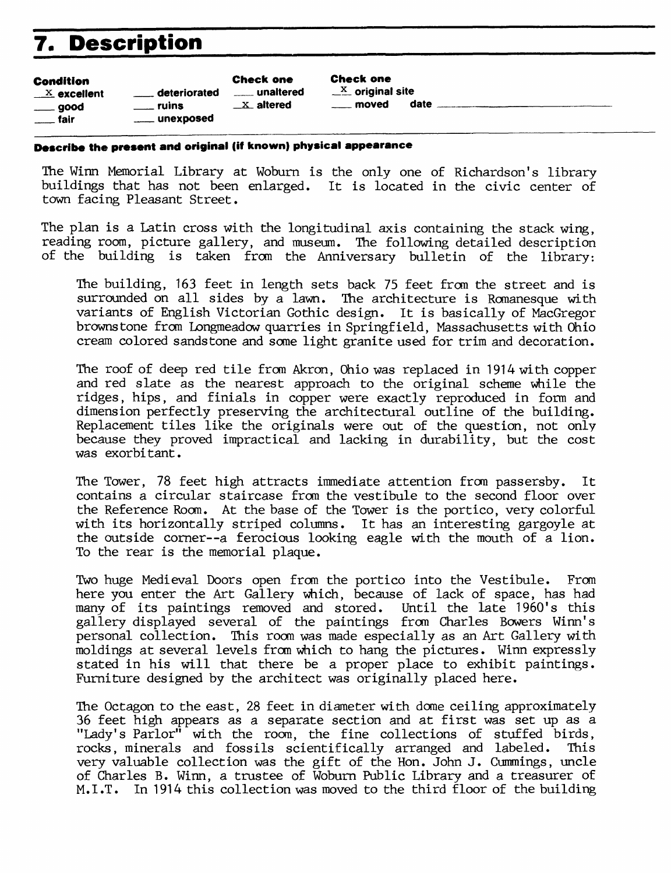## **7. Description**

| Condition                    |  |  |  |  |  |  |  |
|------------------------------|--|--|--|--|--|--|--|
| $X$ excellent                |  |  |  |  |  |  |  |
| $\rule{1em}{0.15mm} = 0.000$ |  |  |  |  |  |  |  |

fair

 $\equiv$  deteriorated  $\equiv$  unaltered  $\equiv$   $\frac{X}{X}$  original site  $\frac{X}{X}$  altered and alter all the moved date  $\frac{X}{X}$ unexposed

Check one Check one

#### **Describe the present and original (iff known) physical appearance**

The Winn Memorial Library at Woburn is the only one of Richardson's library buildings that has not been enlarged. It is located in the civic center of town facing Pleasant Street.

The plan is a Latin cross with the longitudinal axis containing the stack wing, reading room, picture gallery, and museum. The following detailed description of the building is taken from the Anniversary bulletin of the library:

The building, 163 feet in length sets back 75 feet from the street and is surrounded on all sides by a lawn. The architecture is Romanesque with variants of English Victorian Gothic design. It is basically of MacGregor browns tone from Longmeadow quarries in Springfield, Massachusetts with Ohio cream colored sandstone and some light granite used for trim and decoration.

The roof of deep red tile from Akron, Ohio was replaced in 1914 with copper and red slate as the nearest approach to the original scheme while the ridges, hips, and finials in copper were exactly reproduced in form and dimension perfectly preserving the architectural outline of the building. Replacement tiles like the originals were out of the question, not only because they proved impractical and lacking in durability, but the cost was exorbitant.

The Tower, 78 feet high attracts immediate attention from passersby. It contains a circular staircase from the vestibule to the second floor over the Reference Room. At the base of the Tower is the portico, very colorful with its horizontally striped columns. It has an interesting gargoyle at the outside corner--a ferocious looking eagle with the mouth of a lion. To the rear is the memorial plaque.

Two huge Medieval Doors open from the portico into the Vestibule. From here you enter the Art Gallery which, because of lack of space, has had many of its paintings removed and stored. Until the late 1960's this many of its paintings removed and stored. gallery displayed several of the paintings from Charles Bowers Winn's personal collection. This room was made especially as an Art Gallery with moldings at several levels from which to hang the pictures. Winn expressly stated in his will that there be a proper place to exhibit paintings. Furniture designed by the architect was originally placed here.

The Octagon to the east, 28 feet in diameter with dome ceiling approximately 36 feet high appears as a separate section and at first was set up as a "Lady's Parlor" with the room, the fine collections of stuffed birds, rocks, minerals and fossils scientifically arranged and labeled. This very valuable collection was the gift of the Hon. John J. Cummings, uncle of Charles B. Winn, a trustee of Woburn Public Library and a treasurer of M.I.T. In 1914 this collection was moved to the third floor of the building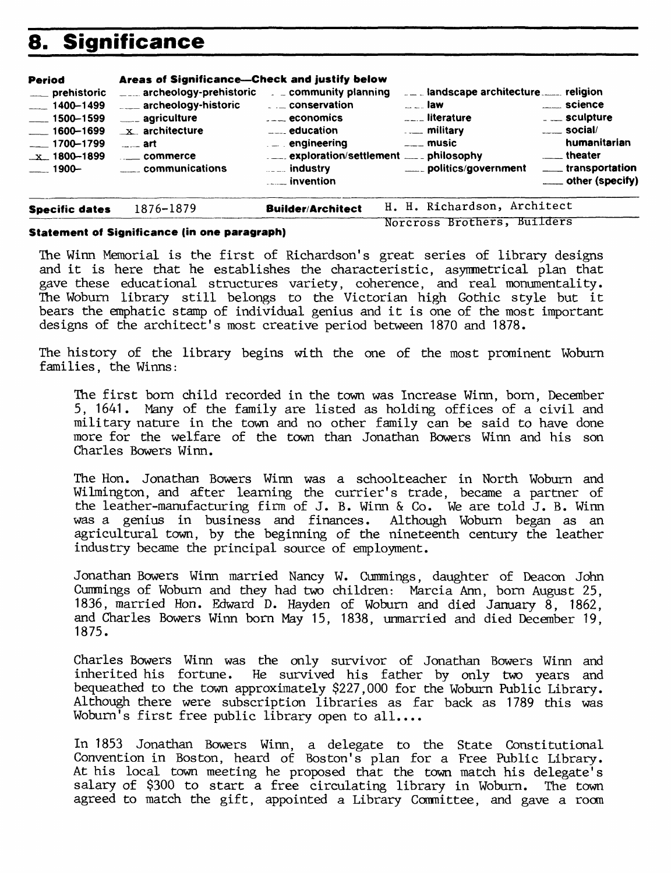## **8. Significance**

| <b>Period</b><br>___ prehistoric<br>$-1400 - 1499$<br>$\frac{1}{2}$ 1500-1599<br>$- 1600 - 1699$<br>$-1700 - 1799$<br>$x$ 1800-1899<br>$-$ 1900- | Areas of Significance---Check and justify below<br>$\frac{1}{2}$ archeology-prehistoric $\frac{1}{2}$ community planning<br>archeology-historic<br>____ agriculture<br>$x$ architecture<br>…… art<br>$\frac{1}{2}$ commerce<br>communications | $\ldots$ conservation<br>$\overline{a}$ = $\overline{a}$ economics<br>$\equiv$ $\equiv$ education<br>$\ldots$ engineering<br>$\ldots$ industry<br>$\frac{1}{2}$ invention | $ -$ law<br>$\overline{\phantom{a}}$ literature<br><b>Example 1</b> military<br>$\overline{\phantom{a}}$ music<br>_____ politics/government | _____ science<br>$\overline{\phantom{a}}$ sculpture<br>$\frac{1}{2}$ social/<br>humanitarian<br>_____ theater<br>____ transportation<br>____ other (specify) |
|--------------------------------------------------------------------------------------------------------------------------------------------------|-----------------------------------------------------------------------------------------------------------------------------------------------------------------------------------------------------------------------------------------------|---------------------------------------------------------------------------------------------------------------------------------------------------------------------------|---------------------------------------------------------------------------------------------------------------------------------------------|--------------------------------------------------------------------------------------------------------------------------------------------------------------|
| <b>Specific dates</b>                                                                                                                            | 1876-1879                                                                                                                                                                                                                                     | <b>Builder/Architect</b>                                                                                                                                                  | H. H. Richardson, Architect                                                                                                                 |                                                                                                                                                              |

#### **Statement of Significance (in one paragraph)**

The Winn Memorial is the first of Richardson's great series of library designs and it is here that he establishes the characteristic, asymmetrical plan that gave these educational structures variety, coherence, and real monumentality. The Woburn library still belongs to the Victorian high Gothic style but it bears the emphatic stamp of individual genius and it is one of the most important

Norcross Brothers, Builders

The history of the library begins with the one of the most prominent Woburn families, the Winns:

designs of the architect's most creative period between 1870 and 1878.

The first born child recorded in the town was Increase Winn, born, December 5, 1641. Many of the family are listed as holding offices of a civil and military nature in the town and no other family can be said to have done more for the welfare of the town than Jonathan Bowers Winn and his son Charles Bowers Winn.

The Hon. Jonathan Bowers Winn was a schoolteacher in North Woburn and Wilmington, and after learning the currier's trade, became a partner of the leather-manufacturing firm of J. B. Winn & Co. We are told J. B. Winn was a genius in business and finances. Although Woburn began as an agricultural town, by the beginning of the nineteenth century the leather industry became the principal source of employment.

Jonathan Bowers Winn married Nancy W. Cummings, daughter of Deacon John Cummings of Woburn and they had two children: Marcia Ann, born August 25, 1836, married Hon. Edward D. Hayden of Woburn and died January 8, 1862, and Charles Bowers Winn born May 15, 1838, unmarried and died December 19, 1875.

Charles Bowers Winn was the only survivor of Jonathan Bowers Winn and inherited his fortune. He survived his father by only two years and bequeathed to the town approximately \$227,000 for the Woburn Public Library. Although there were subscription libraries as far back as 1789 this was Woburn's first free public library open to all....

In 1853 Jonathan Bowers Winn, a delegate to the State Constitutional Convention in Boston, heard of Boston's plan for a Free Public Library. At his local town meeting he proposed that the town match his delegate's salary of \$300 to start a free circulating library in Woburn. The town agreed to match the gift, appointed a Library Committee, and gave a room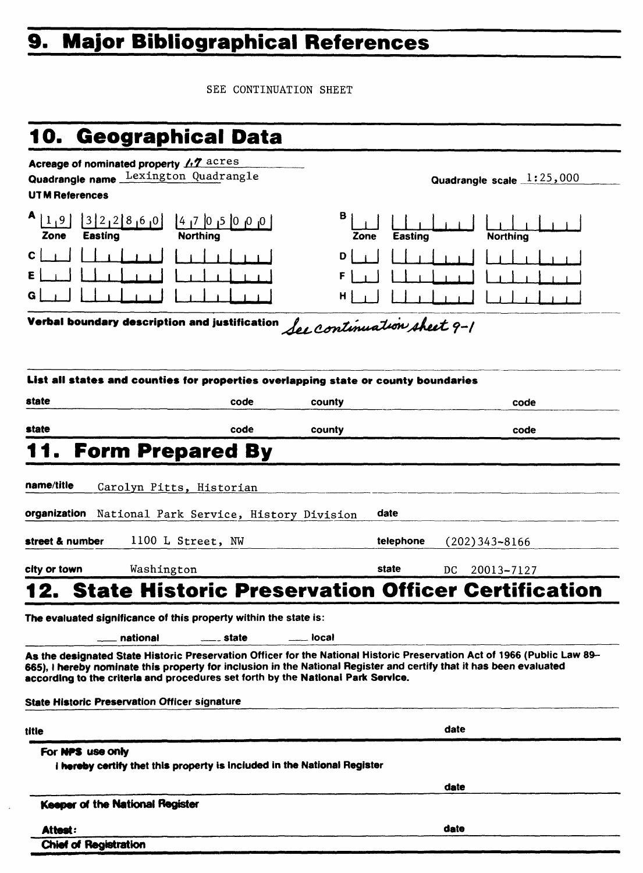# **9. Major Bibliographical References**

SEE CONTINUATION SHEET

# **10. Geographical Data**

| Acreage of nominated property 1.7 acres<br>Quadrangle name Lexington Quadrangle                                                                                                                         | Quadrangle scale 1:25,000 |  |  |  |  |  |  |
|---------------------------------------------------------------------------------------------------------------------------------------------------------------------------------------------------------|---------------------------|--|--|--|--|--|--|
| <b>UTM References</b>                                                                                                                                                                                   |                           |  |  |  |  |  |  |
| A<br>в<br>1,9<br>3212860<br>$\begin{bmatrix} 4 & 5 & 0 \\ 0 & 0 & 0 \end{bmatrix}$ 7   4   5<br><b>Easting</b><br><b>Northing</b><br><b>Easting</b><br>Zone<br><b>Northing</b><br>Zone                  |                           |  |  |  |  |  |  |
| С<br>D                                                                                                                                                                                                  |                           |  |  |  |  |  |  |
|                                                                                                                                                                                                         |                           |  |  |  |  |  |  |
| G<br>н                                                                                                                                                                                                  |                           |  |  |  |  |  |  |
| Verbal boundary description and justification<br>See continuation sheet 9-1                                                                                                                             |                           |  |  |  |  |  |  |
|                                                                                                                                                                                                         |                           |  |  |  |  |  |  |
|                                                                                                                                                                                                         |                           |  |  |  |  |  |  |
| List all states and counties for properties overlapping state or county boundaries                                                                                                                      |                           |  |  |  |  |  |  |
|                                                                                                                                                                                                         |                           |  |  |  |  |  |  |
| state<br>code<br>county<br>code                                                                                                                                                                         |                           |  |  |  |  |  |  |
| state<br>code<br>county<br>code                                                                                                                                                                         |                           |  |  |  |  |  |  |
| <b>Form Prepared By</b>                                                                                                                                                                                 |                           |  |  |  |  |  |  |
|                                                                                                                                                                                                         |                           |  |  |  |  |  |  |
| name/title<br>Carolyn Pitts, Historian                                                                                                                                                                  |                           |  |  |  |  |  |  |
|                                                                                                                                                                                                         |                           |  |  |  |  |  |  |
| organization<br>date<br>National Park Service, History Division                                                                                                                                         |                           |  |  |  |  |  |  |
| 1100 L Street, NW<br>street & number<br>telephone<br>$(202)$ 343-8166                                                                                                                                   |                           |  |  |  |  |  |  |
|                                                                                                                                                                                                         |                           |  |  |  |  |  |  |
| city or town<br>Washington<br>state<br>DC<br>20013-7127                                                                                                                                                 |                           |  |  |  |  |  |  |
| <b>State Historic Preservation Officer Certification</b>                                                                                                                                                |                           |  |  |  |  |  |  |
| The evaluated significance of this property within the state is:                                                                                                                                        |                           |  |  |  |  |  |  |
| national<br>local<br>__ state                                                                                                                                                                           |                           |  |  |  |  |  |  |
| As the designated State Historic Preservation Officer for the National Historic Preservation Act of 1966 (Public Law 89-                                                                                |                           |  |  |  |  |  |  |
| 665), I hereby nominate this property for inclusion in the National Register and certify that it has been evaluated<br>according to the criteria and procedures set forth by the National Park Service. |                           |  |  |  |  |  |  |
| State Historic Preservation Officer signature                                                                                                                                                           |                           |  |  |  |  |  |  |
|                                                                                                                                                                                                         |                           |  |  |  |  |  |  |
| date<br>title                                                                                                                                                                                           |                           |  |  |  |  |  |  |
| For NPS use only                                                                                                                                                                                        |                           |  |  |  |  |  |  |
| i hereby certify thet this property is included in the National Register                                                                                                                                |                           |  |  |  |  |  |  |
|                                                                                                                                                                                                         |                           |  |  |  |  |  |  |
| date                                                                                                                                                                                                    |                           |  |  |  |  |  |  |
| Keeper of the National Register                                                                                                                                                                         |                           |  |  |  |  |  |  |

**Chief of Registration**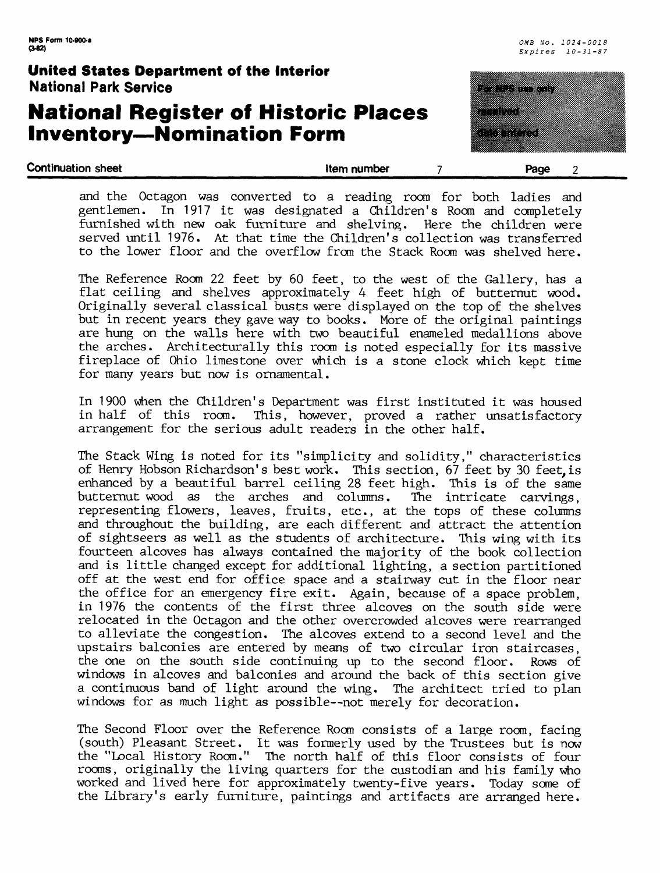### **National Register of Historic Places Inventory—Nomination Form**

<u>terministration in de la construcción de la construcción de la construcción de la construcción de la construcci</u> panananganan a a shekara

**Continuation sheet that continuation sheet that continuation sheet that continuation sheet that continuation sheet 2** 

and the Octagon was converted to a reading room for both ladies and gentlemen. In 1917 it was designated a Children's Room and completely furnished with new oak furniture and shelving. Here the children were served until 1976. At that time the Children's collection was transferred to the lower floor and the overflow from the Stack Room was shelved here.

The Reference Room 22 feet by 60 feet, to the west of the Gallery, has a flat ceiling and shelves approximately 4 feet high of butternut wood. Originally several classical busts were displayed on the top of the shelves but in recent years they gave way to books. More of the original paintings are hung on the walls here with two beautiful enameled medallions above the arches. Architecturally this room is noted especially for its massive fireplace of Ohio limestone over which is a stone clock which kept time for many years but now is ornamental.

In 1900 when the Children's Department was first instituted it was housed in half of this room. This, however, proved a rather unsatisfactory arrangement for the serious adult readers in the other half.

The Stack Wing is noted for its "simplicity and solidity," characteristics of Henry Hobson Richardson's best work. This section, 67 feet by 30 feet,is enhanced by a beautiful barrel ceiling 28 feet high. This is of the same butternut wood as the arches and columns. The intricate carvings. butternut wood as the arches and columns. representing flowers, leaves, fruits, etc., at the tops of these columns and throughout the building, are each different and attract the attention of sightseers as well as the students of architecture. This wing with its fourteen alcoves has always contained the majority of the book collection and is little changed except for additional lighting, a section partitioned off at the west end for office space and a stairway cut in the floor near the office for an emergency fire exit. Again, because of a space problem, in 1976 the contents of the first three alcoves on the south side were relocated in the Octagon and the other overcrowded alcoves were rearranged to alleviate the congestion. The alcoves extend to a second level and the upstairs balconies are entered by means of two circular iron staircases, the one on the south side continuing up to the second floor. Rows of windows in alcoves and balconies and around the back of this section give a continuous band of light around the wing. The architect tried to plan windows for as much light as possible--not merely for decoration.

The Second Floor over the Reference Room consists of a large room, facing (south) Pleasant Street. It was formerly used by the Trustees but is now the "Local History Room." The north half of this floor consists of four rooms, originally the living quarters for the custodian and his family who worked and lived here for approximately twenty-five years. Today some of the Library's early furniture, paintings and artifacts are arranged here.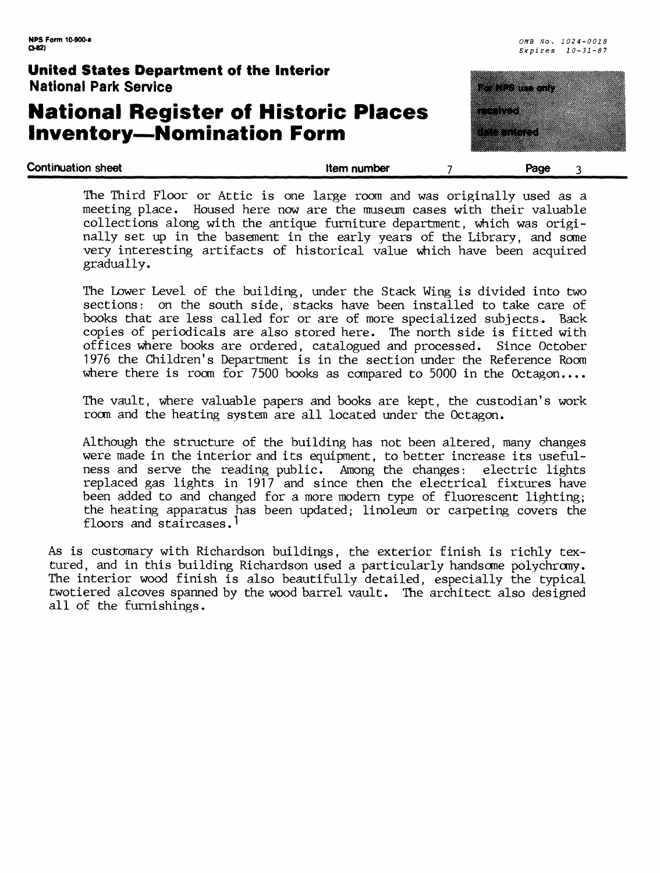### **National Register of Historic Places Inventory—Nomination Form**



**Continuation sheet** the continuation sheet the state of the state of the number that  $\frac{1}{2}$  and  $\frac{1}{2}$  and  $\frac{1}{2}$  and  $\frac{1}{2}$  and  $\frac{1}{2}$  and  $\frac{1}{2}$  and  $\frac{1}{2}$  and  $\frac{1}{2}$  and  $\frac{1}{2}$  and  $\frac{1}{2}$ 

The Third Floor or Attic is one large room and was originally used as a meeting place. Housed here now are the museum cases with their valuable collections along with the antique furniture department, which was originally set up in the basement in the early years of the Library, and some very interesting artifacts of historical value which have been acquired gradually.

The Lower Level of the building, under the Stack Wing is divided into two sections: on the south side, stacks have been installed to take care of books that are less called for or are of more specialized subjects. Back copies of periodicals are also stored here. The north side is fitted with offices where books are ordered, catalogued and processed. Since October 1976 the Children's Department is in the section under the Reference Room where there is room for 7500 books as compared to 5000 in the Octagon....

The vault, where valuable papers and books are kept, the custodian's work room and the heating system are all located under the Octagon.

Although the structure of the building has not been altered, many changes were made in the interior and its equipment, to better increase its usefulness and serve the reading public. Among the changes: electric lights replaced gas lights in 1917 and since then the electrical fixtures have been added to and changed for a more modern type of fluorescent lighting; the heating apparatus has been updated; linoleum or carpeting covers the floors and staircases.<sup>1</sup>

As is customary with Richardson buildings, the exterior finish is richly textured, and in this building Richardson used a particularly handsome polychromy. The interior wood finish is also beautifully detailed, especially the typical twotiered alcoves spanned by the wood barrel vault. The architect also designed all of the furnishings.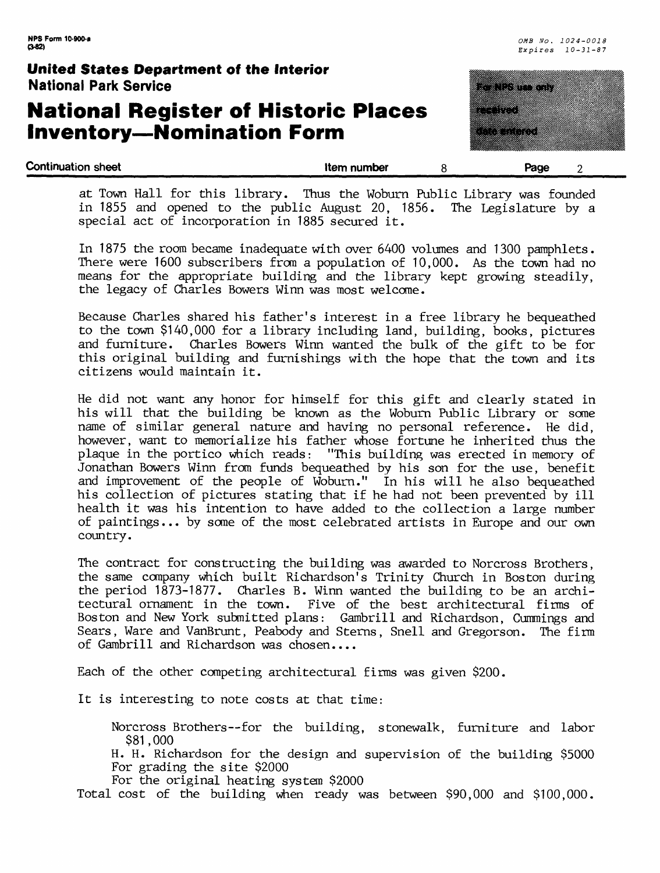### **National Register of Historic Places Inventory—Nomination Form**

special act of incorporation in 1885 secured it.



|  |  |  | at Town Hall for this library. Thus the Woburn Public Library was founded |  |  |  |  |  |
|--|--|--|---------------------------------------------------------------------------|--|--|--|--|--|
|  |  |  | in 1855 and opened to the public August 20, 1856. The Legislature by a    |  |  |  |  |  |

In 1875 the room became inadequate with over 6400 volumes and 1300 pamphlets. There were 1600 subscribers from a population of 10,000. As the town had no means for the appropriate building and the library kept growing steadily, the legacy of Charles Bowers Winn was most welcome.

Because Charles shared his father's interest in a free library he bequeathed to the town \$140,000 for a library including land, building, books, pictures and furniture. Charles Bowers Winn wanted the bulk of the gift to be for this original building and furnishings with the hope that the town and its citizens would maintain it.

He did not want any honor for himself for this gift and clearly stated in his will that the building be known as the Woburn Public Library or some name of similar general nature and having no personal reference. He did, however, want to memorialize his father whose fortune he inherited thus the plaque in the portico which reads: "This building was erected in memory of Jonathan Bowers Winn from funds bequeathed by his son for the use, benefit and improvement of the people of Woburn." In his will he also bequeathed his collection of pictures stating that if he had not been prevented by ill health it was his intention to have added to the collection a large number of paintings... by some of the most celebrated artists in Europe and our own country.

The contract for constructing the building was awarded to Norcross Brothers, the same company which built Richardson's Trinity Church in Boston during the period 1873-1877. Charles B. Winn wanted the building to be an architectural ornament in the town. Five of the best architectural firms of Boston and New York submitted plans: Gambrill and Richardson, Cummings and Sears, Ware and VanBrunt, Peabody and Sterns, Snell and Gregorson. The firm of Gambrill and Richardson was chosen....

Each of the other competing architectural firms was given \$200.

It is interesting to note costs at that time:

Norcross Brothers--for the building, stonewalk, furniture and labor \$81,000

H. H. Richardson for the design and supervision of the building \$5000 For grading the site \$2000

For the original heating system \$2000

Total cost of the building when ready was between \$90,000 and \$100,000.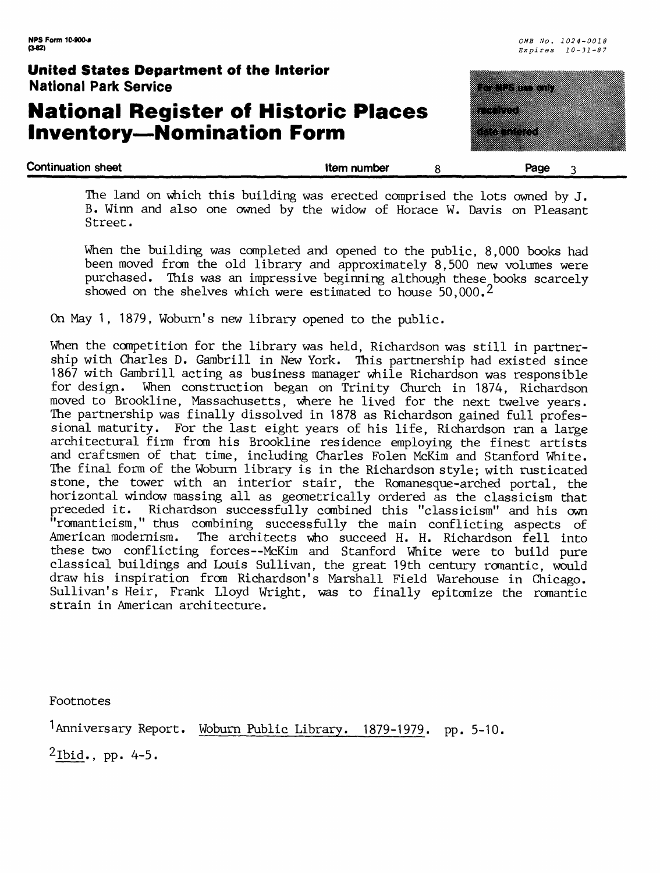### **National Register of Historic Places Inventory—Nomination Form**



The land on which this building was erected comprised the lots owned by J. B. Winn and also one owned by the widow of Horace W. Davis on Pleasant Street.

When the building was completed and opened to the public, 8,000 books had been moved from the old library and approximately 8,500 new volumes were purchased. This was an impressive beginning although these books scarcely showed on the shelves which were estimated to house 50,000.<sup>2</sup>

On May 1, 1879, Woburn's new library opened to the public.

When the competition for the library was held, Richardson was still in partnership with Charles D. Gambrill in New York. This partnership had existed since 1867 with Gambrill acting as business manager while Richardson was responsible for design. When construction began on Trinity Church in 1874, Richardson moved to Brookline, Massachusetts, where he lived for the next twelve years. The partnership was finally dissolved in 1878 as Richardson gained full professional maturity. For the last eight years of his life, Richardson ran a large architectural firm from his Brookline residence employing the finest artists and craftsmen of that time, including Charles Folen McKim and Stanford White. The final form of the Woburn library is in the Richardson style; with rusticated stone, the tower with an interior stair, the Romanesque-arched portal, the horizontal window massing all as geometrically ordered as the classicism that preceded it. Richardson successfully combined this "classicism" and his own "romanticism," thus combining successfully the main conflicting aspects of American modernism. The architects who succeed H. H. Richardson fell into these two conflicting forces--McKim and Stanford White were to build pure classical buildings and Louis Sullivan, the great 19th century romantic, would draw his inspiration from Richardson's Marshall Field Warehouse in Chicago. Sullivan's Heir, Frank Lloyd Wright, was to finally epitomize the romantic strain in American architecture.

Footnotes

<sup>1</sup>Anniversary Report. Woburn Public Library. 1879-1979. pp. 5-10.

 $^{2}$ Ibid., pp. 4-5.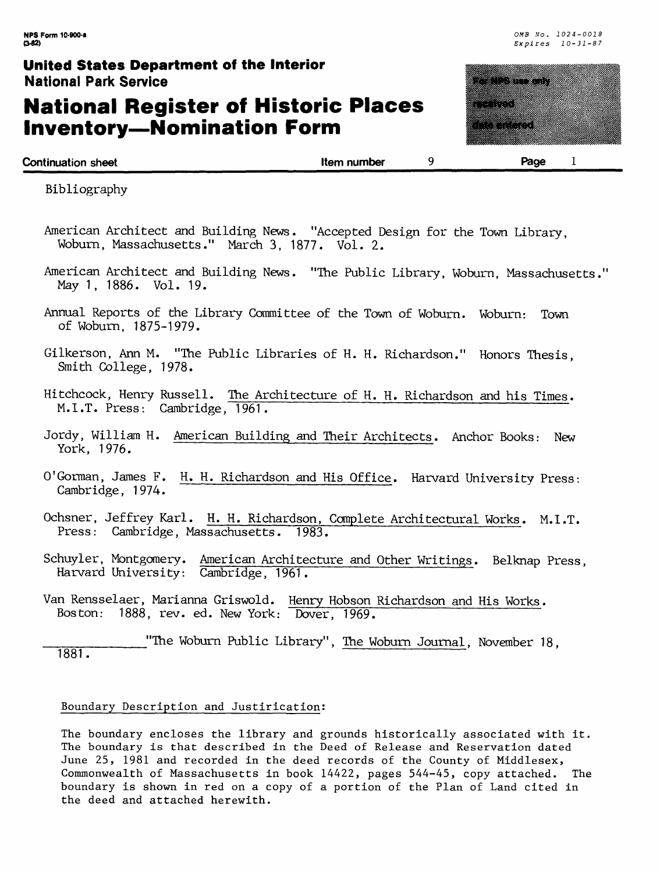### **National Register of Historic Places Inventory—Nomination Form**



**Continuation sheet Continuation sheet Continuation sheet 1** 

Bibliography

- American Architect and Building News. "Accepted Design for the Town Library, Woburn, Massachusetts." March 3, 1877. Vol. 2.
- American Architect and Building News. "The Public Library, Woburn, Massachusetts." May 1, 1886. Vol. 19.
- Annual Reports of the Library Committee of the Town of Woburn. Woburn: Town of Woburn, 1875-1979.
- Gilkerson, Ann M. "The Public Libraries of H. H. Richardson." Honors Thesis, Smith College, 1978.
- Hitchcock, Henry Russell. The Architecture of H. H. Richardson and his Times. M.I.T. Press: Cambridge, 1961.
- Jordy, William H. American Building and Their Architects. Anchor Books: New York, 1976.
- 0'German, James F. H. H. Richardson and His Office. Harvard University Press: Cambridge, 1974.
- Ochsner, Jeffrey Karl. H. H. Richardson, Complete Architectural Works. M.I.T. Press: Cambridge, Massachusetts. 1983.
- Schuyler, Montgomery. American Architecture and Other Writings. Belknap Press, Harvard University: Cambridge, 1961.
- Van Rensselaer, Marianna Griswold. Henry Hobson Richardson and His Works. Boston: 1888, rev. ed. New York: Dover, 1969.

#### Boundary Description and Justirication:

The boundary encloses the library and grounds historically associated with it. The boundary is that described in the Deed of Release and Reservation dated June 25, 1981 and recorded in the deed records of the County of Middlesex, Commonwealth of Massachusetts in book 14422, pages 544-45, copy attached. The boundary is shown in red on a copy of a portion of the Plan of Land cited in the deed and attached herewith.

\_\_\_"The Woburn Public Library", The Woburn Journal, November 18, 1881.